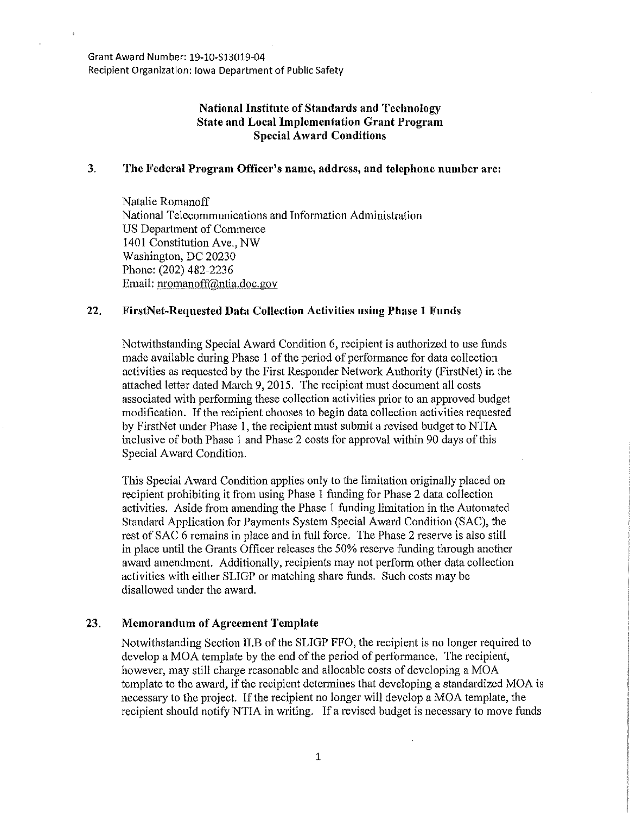Grant Award Number: 19-10-513019-04 Recipient Organization: Iowa Department of Public Safety

## **National Institute of Standards and Technology State and Local Implementation Grant Program Special Award Conditions**

## **3. The Federal Program Officer's name, address, and telephone number are:**

Natalie Romanoff National Telecommunications and Information Administration US Department of Commerce 1401 Constitution Ave., NW Washington, DC 20230 Phone: (202) 482-2236 Email: nromanoff@ntia.doc.gov

## **22. FirstNet-Requested Data Collection Activities using Phase 1 Funds**

Notwithstanding Special Award Condition 6, recipient is authorized to use funds made available during Phase 1 of the period of performance for data collection activities as requested by the First Responder Network Authority (FirstNet) in the attached letter dated March 9, 2015. The recipient mnst document all costs associated with performing these collection activities prior to an approved budget modification. If the recipient chooses to begin data collection activities requested by FirstNet w1der Phase 1, the recipient must submit a revised budget to NTIA inclusive of both Phase 1 and Phase 2 costs for approval within 90 days of this Special Award Condition.

This Special Award Condition applies only to the limitation originally placed on recipient prohibiting it from using Phase 1 funding for Phase 2 data collection activities. Aside from amending the Phase 1 funding limitation in the Automated Standard Application for Payments System Special Award Condition (SAC), the rest of SAC 6 remains in place and in full force. The Phase 2 reserve is also still in place until the Grants Officer releases the 50% reserve funding through another award amendment. Additionally, recipients may not perform other data collection activities with either SLIGP or matching share funds. Such costs may be disallowed under the award.

## **23. Memorandum of Agreement Template**

Notwithstanding Section II.B of the SLIGP FFO, the recipient is no longer required to develop a MOA template by the end of the period of performance. The recipient, however, may still charge reasonable and allocable costs of developing a MOA template to the award, if the recipient determines that developing a standardized MOA is necessary to the project. If the recipient no longer will develop a MOA template, the recipient should notify NTIA in writing. If a revised budget is necessary to move funds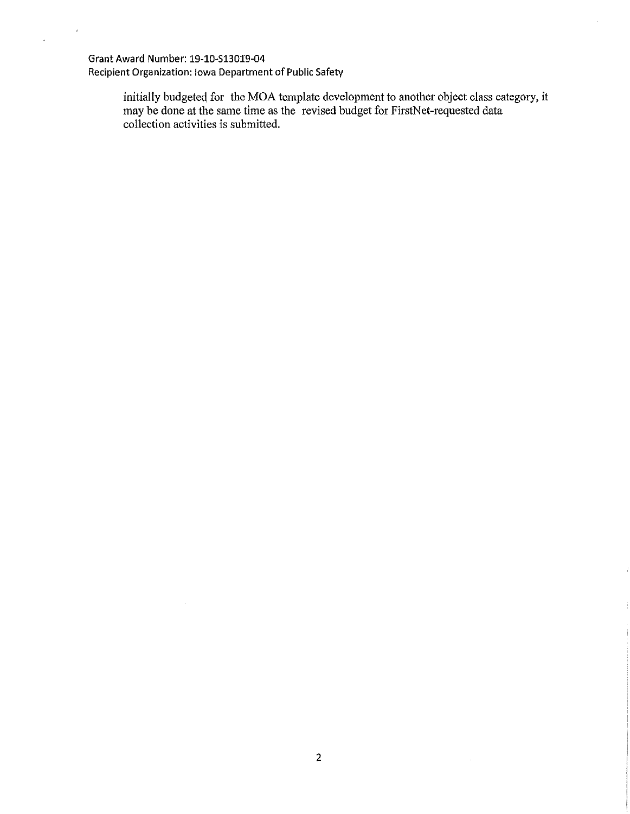Grant Award Number: 19-10-513019-04 Recipient Organization: Iowa Department of Public Safety

 $\bar{t}$ 

 $\bar{A}$ 

initially budgeted for tbe MOA template development to another object class category, it may be done at the same time as the revised budget for FirstNet-requested data collection activities is submitted.

 $\hat{\mathcal{A}}$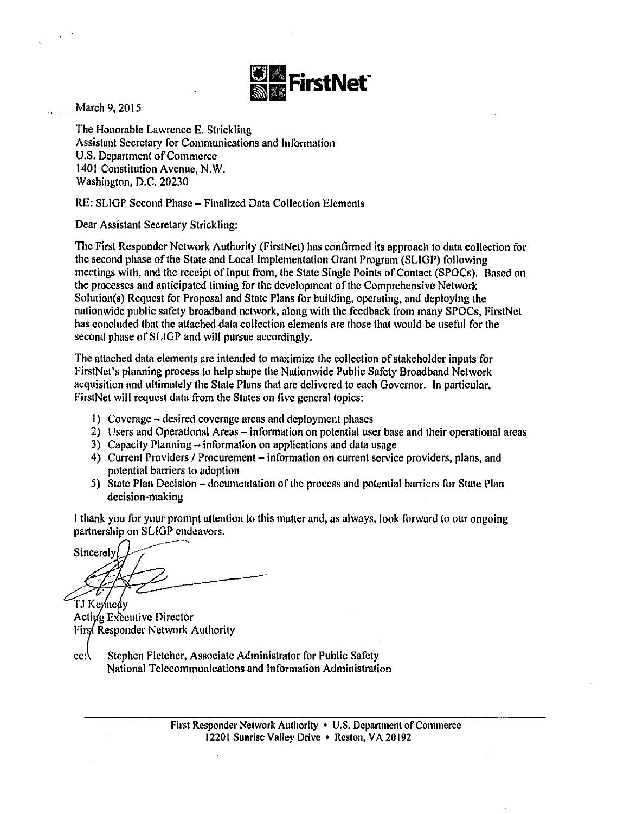

. March 9, 2015

The Honorable Lawrence E. Strickling Assistant Secretary for Communications and Information U.S. Department of Commerce 1401 Constitution Avenue, N.W. Washington, D.C. 20230

RE: SLIGP Second Phase- Finalized Data Collection Elements

Dear Assistant Secretary Strickling:

The First Responder Network Authority (FirstNet) has confirmed its approach to data collection for the second phase of the State and Local Implementation Grant Program (SLIGP) following meetings with, and the receipt of input from, the State Single Points of Contact (SPOCs). Based on the processes and anticipated timing for the development of the Comprehensive Network Solution(s) Request for Proposal and State Plans for building, operating, and deploying the nationwide public safety broadband network, along with the feedback from many SPOCs, FirstNet has concluded that the attached data collection elements are those that would be useful for the second phase of SLIGP and will pursue accordingly.

The attached data elements are intended to maximize the collection of stakeholder inputs for FirstNet's planning process to help shape the Nationwide Public Safety Broadband Network acquisition and ultimately the State Plans that are delivered to each Governor. In particular, FirstNct will request data from the States on five general topics:

- I) Coverage desired coverage areas and deployment phases
- 2) Users and Operational Areas- information on potential user base and their operational areas
- 3) Capacity Planning- information on applications and data usage
- 4) Current Providers / Procurement information on current service providers, plans, and potential barriers to adoption
- 5) State Plan Decision- documentation of the process and potential barriers for State Plan decision-making

I thank you for your prompt attention to this matter and, as always, look forward to our ongoing partnership on SLIGP endeavors.

Sincerely TJ Kennedy

Acting Executive Director First Responder Network Authority

cc: Stephen Fletcher, Associate Administrator for Public Safety National Telecommunications and Information Administration